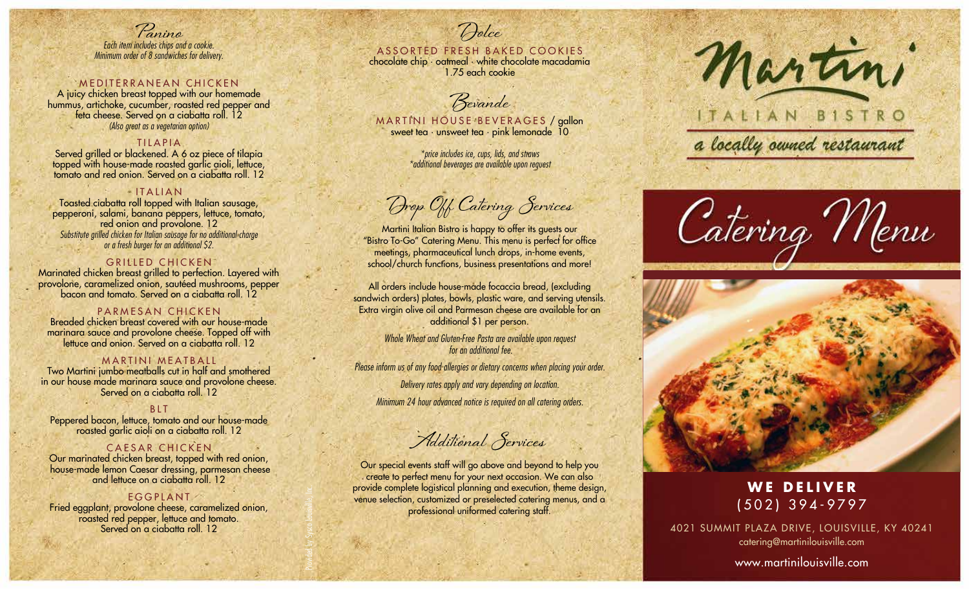**Panino** Each item includes chips and a cookie. Minimum order of 8 sandwiches for delivery.

#### MEDITERRANEAN CHICKEN

A juicy chicken breast topped with our homemade hummus, artichoke, cucumber, roasted red pepper and feta cheese. Served on a ciabatta roll. 12 (Also great as a vegetarian option)

#### TILAPIA

Served grilled or blackened. A 6 oz piece of tilapia topped with house-made roasted garlic aioli, lettuce, tomato and red onion. Served on a ciabatta roll. 12

#### ITALIAN

Toasted ciabatta roll topped with Italian sausage, pepperoni, salami, banana peppers, lettuce, tomato, red onion and provolone. 12 Substitute grilled chicken for Italian sausage for no additional charge or a fresh burger for an additional \$2.

#### GRILLED CHICKEN

Marinated chicken breast grilled to perfection. Layered with provolone, caramelized onion, sautéed mushrooms, pepper bacon and tomato. Served on a ciabatta roll. 12

#### PARMESAN CHICKEN

Breaded chicken breast covered with our house-made marinara sauce and provolone cheese. Topped off with lettuce and onion. Served on a ciabatta roll. 12

#### MARTINI MEATBALL

Two Martini jumbo meatballs cut in half and smothered in our house made marinara sauce and provolone cheese. Served on a ciabatta roll.<sup>12</sup>

#### BLT

Peppered bacon, lettuce, tomato and our house-made roasted garlic aioli on a ciabatta roll. 12

### CAESAR CHICKEN

Our marinated chicken breast, topped with red onion, house-made lemon Caesar dressing, parmesan cheese and lettuce on a ciabatta roll. 12

#### EGGPLANT

Fried eggplant, provolone cheese, caramelized onion, roasted red pepper, lettuce and tomato. Served on a ciabatta roll. 12

Provided by Sysco Louisville, Inc.

## ASSORTED FRESH BAKED COOKIES

**Dolce**

chocolate chip · oatmeal · white chocolate macadamia 1.75 each cookie

**Bevande**

MARTINI HOUSE BEVERAGES / gallon sweet tea · unsweet tea · pink lemonade 10

> \*price includes ice, cups, lids, and straws \*additional beverages are available upon request

**Drop Off Catering Services**

Martini Italian Bistro is happy to offer its guests our "Bistro To-Go" Catering Menu. This menu is perfect for office meetings, pharmaceutical lunch drops, in-home events, school/church functions, business presentations and more!

All orders include house-made focaccia bread, (excluding sandwich orders) plates, bowls, plastic ware, and serving utensils. Extra virgin olive oil and Parmesan cheese are available for an additional \$1 per person.

> Whole Wheat and Gluten-Free Pasta are available upon request for an additional fee.

Please inform us of any food allergies or dietary concerns when placing your order.

Delivery rates apply and vary depending on location.

Minimum 24 hour advanced notice is required on all catering orders.

**Additional Services**

Our special events staff will go above and beyond to help you create to perfect menu for your next occasion. We can also provide complete logistical planning and execution, theme design, venue selection, customized or preselected catering menus, and a professional uniformed catering staff.



# ITALIAN BISTRO

a locally owned restaurant





## **WE DELIVER** (502) 394-9797

4021 SUMMIT PLAZA DRIVE, LOUISVILLE, KY 40241 catering@martinilouisville.com

www.martinilouisville.com